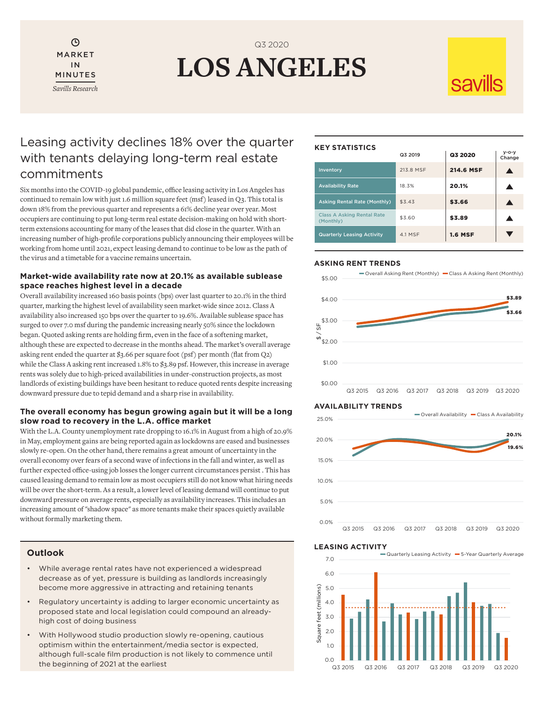Θ MARKET IN MINUTES *Savills Research*

# **LOS ANGELES**  Q3 2020

# SAVILS

### Leasing activity declines 18% over the quarter with tenants delaying long-term real estate commitments

Six months into the COVID-19 global pandemic, office leasing activity in Los Angeles has continued to remain low with just 1.6 million square feet (msf) leased in Q3. This total is down 18% from the previous quarter and represents a 61% decline year over year. Most occupiers are continuing to put long-term real estate decision-making on hold with shortterm extensions accounting for many of the leases that did close in the quarter. With an increasing number of high-profile corporations publicly announcing their employees will be working from home until 2021, expect leasing demand to continue to be low as the path of the virus and a timetable for a vaccine remains uncertain.

### **Market-wide availability rate now at 20.1% as available sublease space reaches highest level in a decade**

Overall availability increased 160 basis points (bps) over last quarter to 20.1% in the third quarter, marking the highest level of availability seen market-wide since 2012. Class A availability also increased 150 bps over the quarter to 19.6%. Available sublease space has surged to over 7.0 msf during the pandemic increasing nearly 50% since the lockdown began. Quoted asking rents are holding firm, even in the face of a softening market, although these are expected to decrease in the months ahead. The market's overall average asking rent ended the quarter at \$3.66 per square foot (psf) per month (flat from Q2) while the Class A asking rent increased 1.8% to \$3.89 psf. However, this increase in average rents was solely due to high-priced availabilities in under-construction projects, as most landlords of existing buildings have been hesitant to reduce quoted rents despite increasing downward pressure due to tepid demand and a sharp rise in availability.

### **The overall economy has begun growing again but it will be a long slow road to recovery in the L.A. office market**

With the L.A. County unemployment rate dropping to 16.1% in August from a high of 20.9% in May, employment gains are being reported again as lockdowns are eased and businesses slowly re-open. On the other hand, there remains a great amount of uncertainty in the overall economy over fears of a second wave of infections in the fall and winter, as well as further expected office-using job losses the longer current circumstances persist . This has caused leasing demand to remain low as most occupiers still do not know what hiring needs will be over the short-term. As a result, a lower level of leasing demand will continue to put downward pressure on average rents, especially as availability increases. This includes an increasing amount of "shadow space" as more tenants make their spaces quietly available without formally marketing them.

### **Outlook**

- While average rental rates have not experienced a widespread decrease as of yet, pressure is building as landlords increasingly become more aggressive in attracting and retaining tenants
- Regulatory uncertainty is adding to larger economic uncertainty as proposed state and local legislation could compound an alreadyhigh cost of doing business
- With Hollywood studio production slowly re-opening, cautious optimism within the entertainment/media sector is expected, although full-scale film production is not likely to commence until the beginning of 2021 at the earliest

### **KEY STATISTICS**

|                                                | Q3 2019   | Q3 2020          | $V-O-V$<br>Change |
|------------------------------------------------|-----------|------------------|-------------------|
| Inventory                                      | 213.8 MSF | <b>214.6 MSF</b> |                   |
| <b>Availability Rate</b>                       | 18.3%     | 20.1%            |                   |
| <b>Asking Rental Rate (Monthly)</b>            | \$3.43    | \$3.66           |                   |
| <b>Class A Asking Rental Rate</b><br>(Monthly) | \$3.60    | \$3.89           |                   |
| <b>Quarterly Leasing Activity</b>              | 4.1 MSF   | <b>1.6 MSF</b>   |                   |

### **ASKING RENT TRENDS**



### **AVAILABILITY TRENDS**



### **LEASING ACTIVITY**